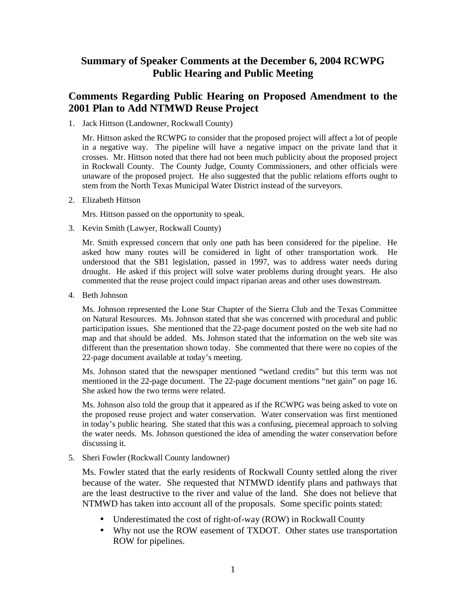## **Summary of Speaker Comments at the December 6, 2004 RCWPG Public Hearing and Public Meeting**

### **Comments Regarding Public Hearing on Proposed Amendment to the 2001 Plan to Add NTMWD Reuse Project**

1. Jack Hittson (Landowner, Rockwall County)

Mr. Hittson asked the RCWPG to consider that the proposed project will affect a lot of people in a negative way. The pipeline will have a negative impact on the private land that it crosses. Mr. Hittson noted that there had not been much publicity about the proposed project in Rockwall County. The County Judge, County Commissioners, and other officials were unaware of the proposed project. He also suggested that the public relations efforts ought to stem from the North Texas Municipal Water District instead of the surveyors.

2. Elizabeth Hittson

Mrs. Hittson passed on the opportunity to speak.

3. Kevin Smith (Lawyer, Rockwall County)

Mr. Smith expressed concern that only one path has been considered for the pipeline. He asked how many routes will be considered in light of other transportation work. He understood that the SB1 legislation, passed in 1997, was to address water needs during drought. He asked if this project will solve water problems during drought years. He also commented that the reuse project could impact riparian areas and other uses downstream.

4. Beth Johnson

Ms. Johnson represented the Lone Star Chapter of the Sierra Club and the Texas Committee on Natural Resources. Ms. Johnson stated that she was concerned with procedural and public participation issues. She mentioned that the 22-page document posted on the web site had no map and that should be added. Ms. Johnson stated that the information on the web site was different than the presentation shown today. She commented that there were no copies of the 22-page document available at today's meeting.

Ms. Johnson stated that the newspaper mentioned "wetland credits" but this term was not mentioned in the 22-page document. The 22-page document mentions "net gain" on page 16. She asked how the two terms were related.

Ms. Johnson also told the group that it appeared as if the RCWPG was being asked to vote on the proposed reuse project and water conservation. Water conservation was first mentioned in today's public hearing. She stated that this was a confusing, piecemeal approach to solving the water needs. Ms. Johnson questioned the idea of amending the water conservation before discussing it.

5. Sheri Fowler (Rockwall County landowner)

Ms. Fowler stated that the early residents of Rockwall County settled along the river because of the water. She requested that NTMWD identify plans and pathways that are the least destructive to the river and value of the land. She does not believe that NTMWD has taken into account all of the proposals. Some specific points stated:

- Underestimated the cost of right-of-way (ROW) in Rockwall County
- Why not use the ROW easement of TXDOT. Other states use transportation ROW for pipelines.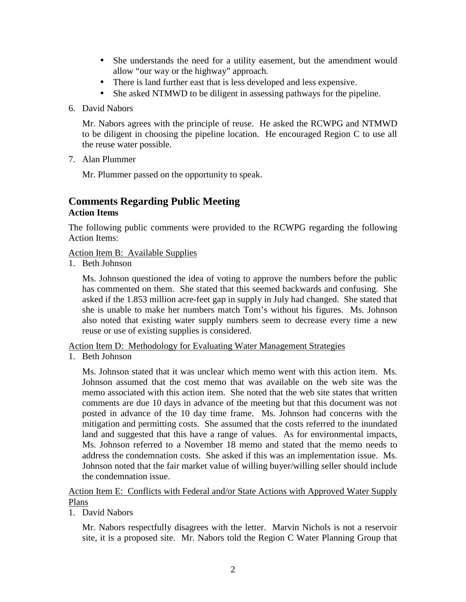- She understands the need for a utility easement, but the amendment would allow "our way or the highway" approach.
- There is land further east that is less developed and less expensive.
- She asked NTMWD to be diligent in assessing pathways for the pipeline.
- 6. David Nabors

Mr. Nabors agrees with the principle of reuse. He asked the RCWPG and NTMWD to be diligent in choosing the pipeline location. He encouraged Region C to use all the reuse water possible.

7. Alan Plummer

Mr. Plummer passed on the opportunity to speak.

# **Comments Regarding Public Meeting**

#### **Action Items**

The following public comments were provided to the RCWPG regarding the following Action Items:

#### Action Item B: Available Supplies

1. Beth Johnson

Ms. Johnson questioned the idea of voting to approve the numbers before the public has commented on them. She stated that this seemed backwards and confusing. She asked if the 1.853 million acre-feet gap in supply in July had changed. She stated that she is unable to make her numbers match Tom's without his figures. Ms. Johnson also noted that existing water supply numbers seem to decrease every time a new reuse or use of existing supplies is considered.

Action Item D: Methodology for Evaluating Water Management Strategies

1. Beth Johnson

Ms. Johnson stated that it was unclear which memo went with this action item. Ms. Johnson assumed that the cost memo that was available on the web site was the memo associated with this action item. She noted that the web site states that written comments are due 10 days in advance of the meeting but that this document was not posted in advance of the 10 day time frame. Ms. Johnson had concerns with the mitigation and permitting costs. She assumed that the costs referred to the inundated land and suggested that this have a range of values. As for environmental impacts, Ms. Johnson referred to a November 18 memo and stated that the memo needs to address the condemnation costs. She asked if this was an implementation issue. Ms. Johnson noted that the fair market value of willing buyer/willing seller should include the condemnation issue.

Action Item E: Conflicts with Federal and/or State Actions with Approved Water Supply Plans

1. David Nabors

Mr. Nabors respectfully disagrees with the letter. Marvin Nichols is not a reservoir site, it is a proposed site. Mr. Nabors told the Region C Water Planning Group that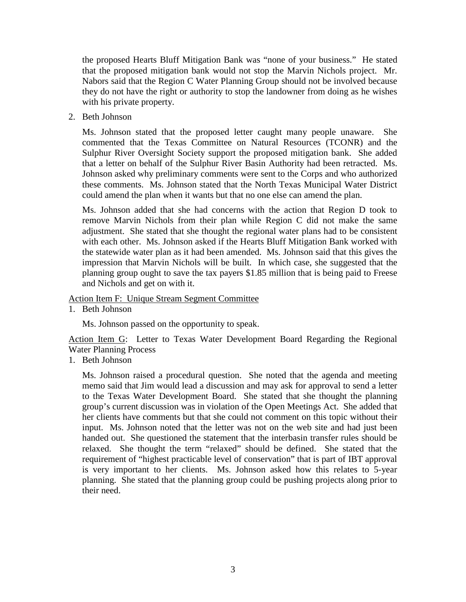the proposed Hearts Bluff Mitigation Bank was "none of your business." He stated that the proposed mitigation bank would not stop the Marvin Nichols project. Mr. Nabors said that the Region C Water Planning Group should not be involved because they do not have the right or authority to stop the landowner from doing as he wishes with his private property.

2. Beth Johnson

Ms. Johnson stated that the proposed letter caught many people unaware. She commented that the Texas Committee on Natural Resources (TCONR) and the Sulphur River Oversight Society support the proposed mitigation bank. She added that a letter on behalf of the Sulphur River Basin Authority had been retracted. Ms. Johnson asked why preliminary comments were sent to the Corps and who authorized these comments. Ms. Johnson stated that the North Texas Municipal Water District could amend the plan when it wants but that no one else can amend the plan.

Ms. Johnson added that she had concerns with the action that Region D took to remove Marvin Nichols from their plan while Region C did not make the same adjustment. She stated that she thought the regional water plans had to be consistent with each other. Ms. Johnson asked if the Hearts Bluff Mitigation Bank worked with the statewide water plan as it had been amended. Ms. Johnson said that this gives the impression that Marvin Nichols will be built. In which case, she suggested that the planning group ought to save the tax payers \$1.85 million that is being paid to Freese and Nichols and get on with it.

Action Item F: Unique Stream Segment Committee

1. Beth Johnson

Ms. Johnson passed on the opportunity to speak.

Action Item G: Letter to Texas Water Development Board Regarding the Regional Water Planning Process

1. Beth Johnson

Ms. Johnson raised a procedural question. She noted that the agenda and meeting memo said that Jim would lead a discussion and may ask for approval to send a letter to the Texas Water Development Board. She stated that she thought the planning group's current discussion was in violation of the Open Meetings Act. She added that her clients have comments but that she could not comment on this topic without their input. Ms. Johnson noted that the letter was not on the web site and had just been handed out. She questioned the statement that the interbasin transfer rules should be relaxed. She thought the term "relaxed" should be defined. She stated that the requirement of "highest practicable level of conservation" that is part of IBT approval is very important to her clients. Ms. Johnson asked how this relates to 5-year planning. She stated that the planning group could be pushing projects along prior to their need.